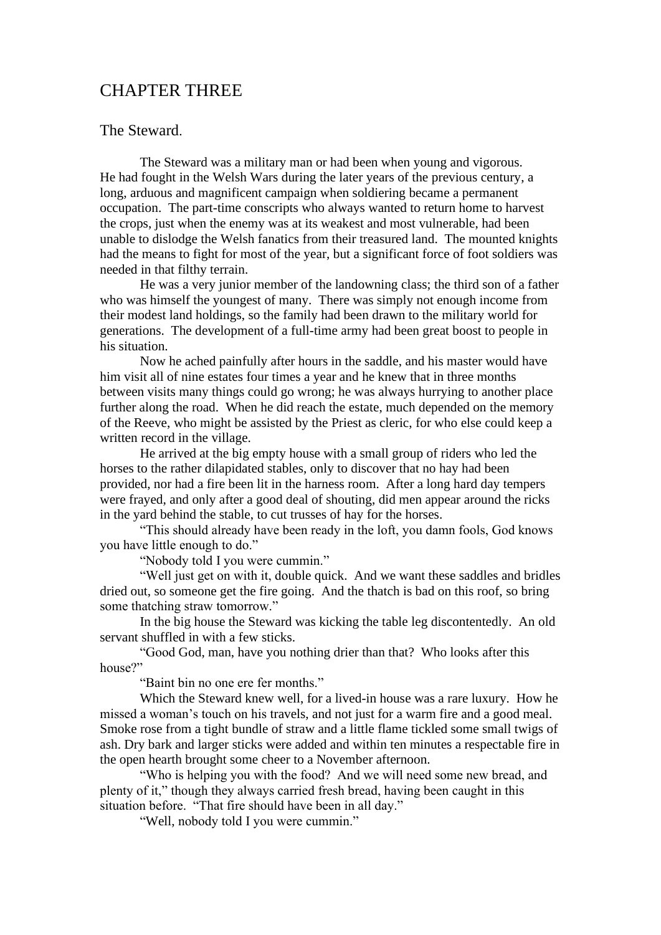## CHAPTER THREE

## The Steward.

The Steward was a military man or had been when young and vigorous. He had fought in the Welsh Wars during the later years of the previous century, a long, arduous and magnificent campaign when soldiering became a permanent occupation. The part-time conscripts who always wanted to return home to harvest the crops, just when the enemy was at its weakest and most vulnerable, had been unable to dislodge the Welsh fanatics from their treasured land. The mounted knights had the means to fight for most of the year, but a significant force of foot soldiers was needed in that filthy terrain.

He was a very junior member of the landowning class; the third son of a father who was himself the youngest of many. There was simply not enough income from their modest land holdings, so the family had been drawn to the military world for generations. The development of a full-time army had been great boost to people in his situation.

Now he ached painfully after hours in the saddle, and his master would have him visit all of nine estates four times a year and he knew that in three months between visits many things could go wrong; he was always hurrying to another place further along the road. When he did reach the estate, much depended on the memory of the Reeve, who might be assisted by the Priest as cleric, for who else could keep a written record in the village.

He arrived at the big empty house with a small group of riders who led the horses to the rather dilapidated stables, only to discover that no hay had been provided, nor had a fire been lit in the harness room. After a long hard day tempers were frayed, and only after a good deal of shouting, did men appear around the ricks in the yard behind the stable, to cut trusses of hay for the horses.

"This should already have been ready in the loft, you damn fools, God knows you have little enough to do."

"Nobody told I you were cummin."

"Well just get on with it, double quick. And we want these saddles and bridles dried out, so someone get the fire going. And the thatch is bad on this roof, so bring some thatching straw tomorrow."

In the big house the Steward was kicking the table leg discontentedly. An old servant shuffled in with a few sticks.

"Good God, man, have you nothing drier than that? Who looks after this house?"

"Baint bin no one ere fer months."

Which the Steward knew well, for a lived-in house was a rare luxury. How he missed a woman's touch on his travels, and not just for a warm fire and a good meal. Smoke rose from a tight bundle of straw and a little flame tickled some small twigs of ash. Dry bark and larger sticks were added and within ten minutes a respectable fire in the open hearth brought some cheer to a November afternoon.

"Who is helping you with the food? And we will need some new bread, and plenty of it," though they always carried fresh bread, having been caught in this situation before. "That fire should have been in all day."

"Well, nobody told I you were cummin."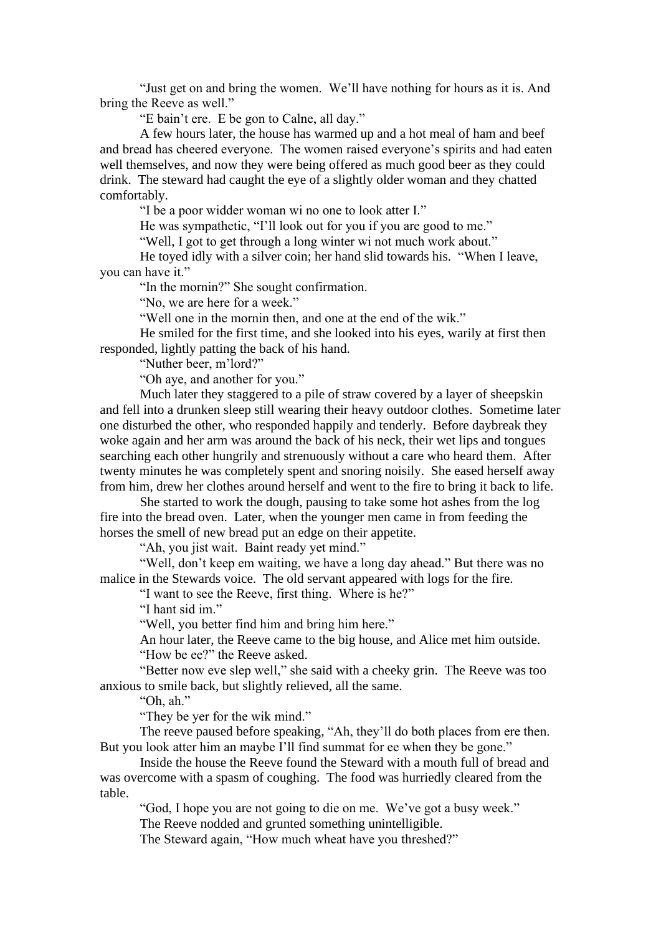"Just get on and bring the women. We'll have nothing for hours as it is. And bring the Reeve as well."

"E bain't ere. E be gon to Calne, all day."

A few hours later, the house has warmed up and a hot meal of ham and beef and bread has cheered everyone. The women raised everyone's spirits and had eaten well themselves, and now they were being offered as much good beer as they could drink. The steward had caught the eye of a slightly older woman and they chatted comfortably.

"I be a poor widder woman wi no one to look atter I."

He was sympathetic, "I'll look out for you if you are good to me."

"Well, I got to get through a long winter wi not much work about."

He toyed idly with a silver coin; her hand slid towards his. "When I leave, you can have it."

"In the mornin?" She sought confirmation.

"No, we are here for a week."

"Well one in the mornin then, and one at the end of the wik."

He smiled for the first time, and she looked into his eyes, warily at first then responded, lightly patting the back of his hand.

"Nuther beer, m'lord?"

"Oh aye, and another for you."

Much later they staggered to a pile of straw covered by a layer of sheepskin and fell into a drunken sleep still wearing their heavy outdoor clothes. Sometime later one disturbed the other, who responded happily and tenderly. Before daybreak they woke again and her arm was around the back of his neck, their wet lips and tongues searching each other hungrily and strenuously without a care who heard them. After twenty minutes he was completely spent and snoring noisily. She eased herself away from him, drew her clothes around herself and went to the fire to bring it back to life.

She started to work the dough, pausing to take some hot ashes from the log fire into the bread oven. Later, when the younger men came in from feeding the horses the smell of new bread put an edge on their appetite.

"Ah, you jist wait. Baint ready yet mind."

"Well, don't keep em waiting, we have a long day ahead." But there was no malice in the Stewards voice. The old servant appeared with logs for the fire.

"I want to see the Reeve, first thing. Where is he?"

"I hant sid im."

"Well, you better find him and bring him here."

An hour later, the Reeve came to the big house, and Alice met him outside. "How be ee?" the Reeve asked.

"Better now eve slep well," she said with a cheeky grin. The Reeve was too anxious to smile back, but slightly relieved, all the same.

"Oh, ah."

"They be yer for the wik mind."

The reeve paused before speaking, "Ah, they'll do both places from ere then. But you look atter him an maybe I'll find summat for ee when they be gone."

Inside the house the Reeve found the Steward with a mouth full of bread and was overcome with a spasm of coughing. The food was hurriedly cleared from the table.

"God, I hope you are not going to die on me. We've got a busy week."

The Reeve nodded and grunted something unintelligible.

The Steward again, "How much wheat have you threshed?"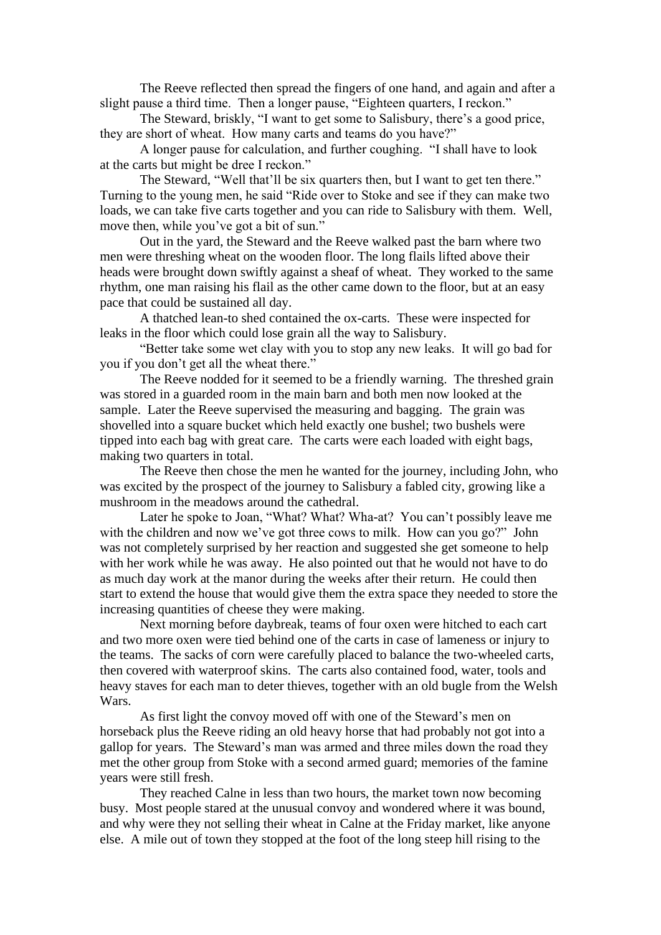The Reeve reflected then spread the fingers of one hand, and again and after a slight pause a third time. Then a longer pause, "Eighteen quarters, I reckon."

The Steward, briskly, "I want to get some to Salisbury, there's a good price, they are short of wheat. How many carts and teams do you have?"

A longer pause for calculation, and further coughing. "I shall have to look at the carts but might be dree I reckon."

The Steward, "Well that'll be six quarters then, but I want to get ten there." Turning to the young men, he said "Ride over to Stoke and see if they can make two loads, we can take five carts together and you can ride to Salisbury with them. Well, move then, while you've got a bit of sun."

Out in the yard, the Steward and the Reeve walked past the barn where two men were threshing wheat on the wooden floor. The long flails lifted above their heads were brought down swiftly against a sheaf of wheat. They worked to the same rhythm, one man raising his flail as the other came down to the floor, but at an easy pace that could be sustained all day.

A thatched lean-to shed contained the ox-carts. These were inspected for leaks in the floor which could lose grain all the way to Salisbury.

"Better take some wet clay with you to stop any new leaks. It will go bad for you if you don't get all the wheat there."

The Reeve nodded for it seemed to be a friendly warning. The threshed grain was stored in a guarded room in the main barn and both men now looked at the sample. Later the Reeve supervised the measuring and bagging. The grain was shovelled into a square bucket which held exactly one bushel; two bushels were tipped into each bag with great care. The carts were each loaded with eight bags, making two quarters in total.

The Reeve then chose the men he wanted for the journey, including John, who was excited by the prospect of the journey to Salisbury a fabled city, growing like a mushroom in the meadows around the cathedral.

Later he spoke to Joan, "What? What? Wha-at? You can't possibly leave me with the children and now we've got three cows to milk. How can you go?" John was not completely surprised by her reaction and suggested she get someone to help with her work while he was away. He also pointed out that he would not have to do as much day work at the manor during the weeks after their return. He could then start to extend the house that would give them the extra space they needed to store the increasing quantities of cheese they were making.

Next morning before daybreak, teams of four oxen were hitched to each cart and two more oxen were tied behind one of the carts in case of lameness or injury to the teams. The sacks of corn were carefully placed to balance the two-wheeled carts, then covered with waterproof skins. The carts also contained food, water, tools and heavy staves for each man to deter thieves, together with an old bugle from the Welsh Wars.

As first light the convoy moved off with one of the Steward's men on horseback plus the Reeve riding an old heavy horse that had probably not got into a gallop for years. The Steward's man was armed and three miles down the road they met the other group from Stoke with a second armed guard; memories of the famine years were still fresh.

They reached Calne in less than two hours, the market town now becoming busy. Most people stared at the unusual convoy and wondered where it was bound, and why were they not selling their wheat in Calne at the Friday market, like anyone else. A mile out of town they stopped at the foot of the long steep hill rising to the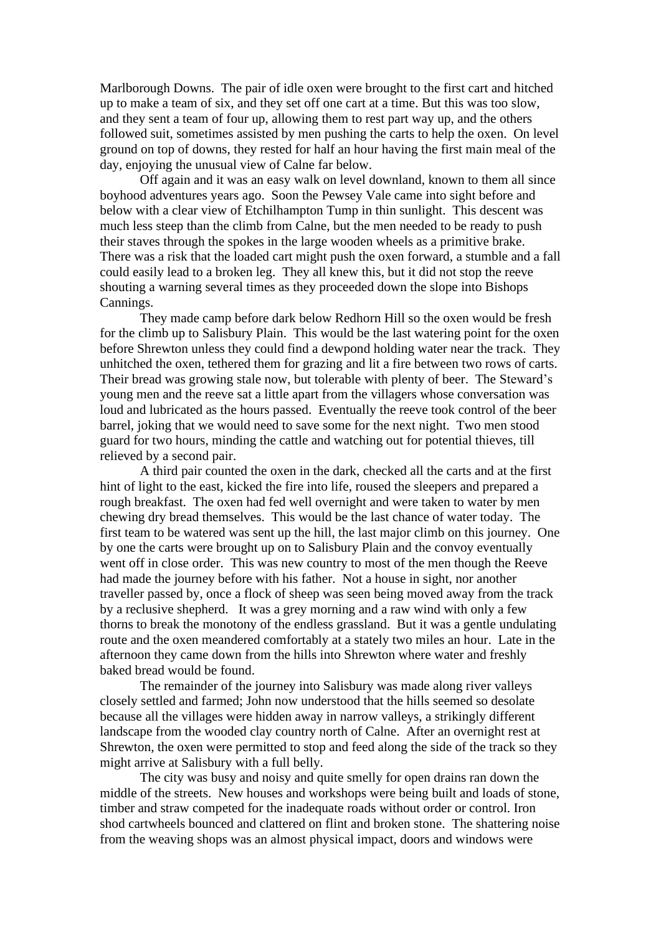Marlborough Downs. The pair of idle oxen were brought to the first cart and hitched up to make a team of six, and they set off one cart at a time. But this was too slow, and they sent a team of four up, allowing them to rest part way up, and the others followed suit, sometimes assisted by men pushing the carts to help the oxen. On level ground on top of downs, they rested for half an hour having the first main meal of the day, enjoying the unusual view of Calne far below.

Off again and it was an easy walk on level downland, known to them all since boyhood adventures years ago. Soon the Pewsey Vale came into sight before and below with a clear view of Etchilhampton Tump in thin sunlight. This descent was much less steep than the climb from Calne, but the men needed to be ready to push their staves through the spokes in the large wooden wheels as a primitive brake. There was a risk that the loaded cart might push the oxen forward, a stumble and a fall could easily lead to a broken leg. They all knew this, but it did not stop the reeve shouting a warning several times as they proceeded down the slope into Bishops Cannings.

They made camp before dark below Redhorn Hill so the oxen would be fresh for the climb up to Salisbury Plain. This would be the last watering point for the oxen before Shrewton unless they could find a dewpond holding water near the track. They unhitched the oxen, tethered them for grazing and lit a fire between two rows of carts. Their bread was growing stale now, but tolerable with plenty of beer. The Steward's young men and the reeve sat a little apart from the villagers whose conversation was loud and lubricated as the hours passed. Eventually the reeve took control of the beer barrel, joking that we would need to save some for the next night. Two men stood guard for two hours, minding the cattle and watching out for potential thieves, till relieved by a second pair.

A third pair counted the oxen in the dark, checked all the carts and at the first hint of light to the east, kicked the fire into life, roused the sleepers and prepared a rough breakfast. The oxen had fed well overnight and were taken to water by men chewing dry bread themselves. This would be the last chance of water today. The first team to be watered was sent up the hill, the last major climb on this journey. One by one the carts were brought up on to Salisbury Plain and the convoy eventually went off in close order. This was new country to most of the men though the Reeve had made the journey before with his father. Not a house in sight, nor another traveller passed by, once a flock of sheep was seen being moved away from the track by a reclusive shepherd. It was a grey morning and a raw wind with only a few thorns to break the monotony of the endless grassland. But it was a gentle undulating route and the oxen meandered comfortably at a stately two miles an hour. Late in the afternoon they came down from the hills into Shrewton where water and freshly baked bread would be found.

The remainder of the journey into Salisbury was made along river valleys closely settled and farmed; John now understood that the hills seemed so desolate because all the villages were hidden away in narrow valleys, a strikingly different landscape from the wooded clay country north of Calne. After an overnight rest at Shrewton, the oxen were permitted to stop and feed along the side of the track so they might arrive at Salisbury with a full belly.

The city was busy and noisy and quite smelly for open drains ran down the middle of the streets. New houses and workshops were being built and loads of stone, timber and straw competed for the inadequate roads without order or control. Iron shod cartwheels bounced and clattered on flint and broken stone. The shattering noise from the weaving shops was an almost physical impact, doors and windows were